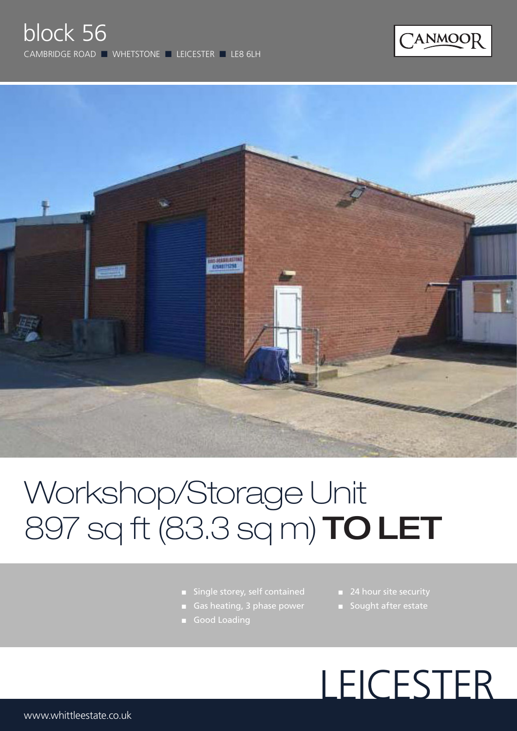



# Workshop/Storage Unit 897 sq ft (83.3 sq m) TO LET

- Single storey, self contained
- 
- Good Loading
- 24 hour site security
- Sought after estate

# LEICESTER